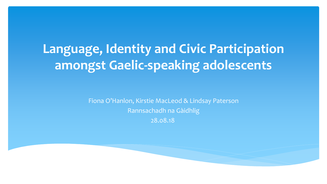### **Language, Identity and Civic Participation amongst Gaelic-speaking adolescents**

Fiona O'Hanlon, Kirstie MacLeod & Lindsay Paterson Rannsachadh na Gàidhlig 28.08.18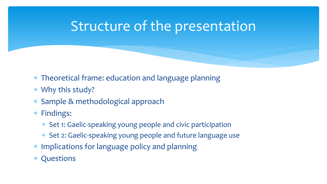#### Structure of the presentation

- ∗ Theoretical frame: education and language planning
- ∗ Why this study?
- ∗ Sample & methodological approach
- ∗ Findings:
	- ∗ Set 1: Gaelic-speaking young people and civic participation
	- ∗ Set 2: Gaelic-speaking young people and future language use
- ∗ Implications for language policy and planning
- ∗ Questions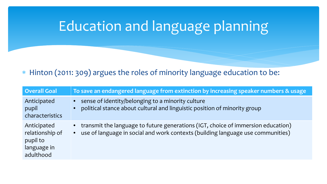# Education and language planning

#### ∗ Hinton (2011: 309) argues the roles of minority language education to be:

| <b>Overall Goal</b>                                                    | To save an endangered language from extinction by increasing speaker numbers & usage                                                                                    |
|------------------------------------------------------------------------|-------------------------------------------------------------------------------------------------------------------------------------------------------------------------|
| Anticipated<br>pupil<br>characteristics                                | sense of identity/belonging to a minority culture<br>$\bullet$<br>political stance about cultural and linguistic position of minority group<br>$\bullet$                |
| Anticipated<br>relationship of<br>pupil to<br>language in<br>adulthood | • transmit the language to future generations (IGT, choice of immersion education)<br>• use of language in social and work contexts (building language use communities) |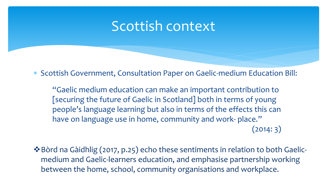#### Scottish context

∗ Scottish Government, Consultation Paper on Gaelic-medium Education Bill:

"Gaelic medium education can make an important contribution to [securing the future of Gaelic in Scotland] both in terms of young people's language learning but also in terms of the effects this can have on language use in home, community and work- place."  $(2014:3)$ 

Bòrd na Gàidhlig (2017, p.25) echo these sentiments in relation to both Gaelicmedium and Gaelic-learners education, and emphasise partnership working between the home, school, community organisations and workplace.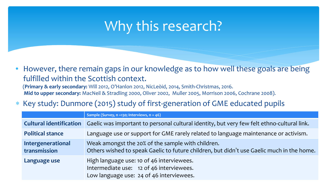#### Why this research?

• However, there remain gaps in our knowledge as to how well these goals are being fulfilled within the Scottish context.

(**Primary & early secondary:** Will 2012, O'Hanlon 2012, NicLeòid, 2014, Smith-Christmas, 2016. **Mid to upper secondary:** MacNeil & Stradling 2000, Oliver 2002, Muller 2005, Morrison 2006, Cochrane 2008).

∗ Key study: Dunmore (2015) study of first-generation of GME educated pupils

|                                   | Sample (Survey, n =130; Interviews, n = 46)                                                                                                    |
|-----------------------------------|------------------------------------------------------------------------------------------------------------------------------------------------|
| <b>Cultural identification</b>    | Gaelic was important to personal cultural identity, but very few felt ethno-cultural link.                                                     |
| <b>Political stance</b>           | Language use or support for GME rarely related to language maintenance or activism.                                                            |
| Intergenerational<br>transmission | Weak amongst the 20% of the sample with children.<br>Others wished to speak Gaelic to future children, but didn't use Gaelic much in the home. |
| Language use                      | High language use: 10 of 46 interviewees.<br>Intermediate use: 12 of 46 interviewees.<br>Low language use: 24 of 46 interviewees.              |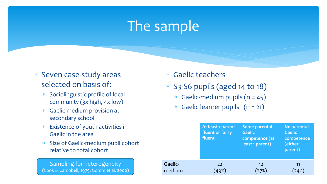#### The sample

- ∗ Seven case-study areas selected on basis of:
	- ∗ Sociolinguistic profile of local community (3x high, 4x low)
	- ∗ Gaelic-medium provision at secondary school
	- ∗ Existence of youth activities in Gaelic in the area
	- ∗ Size of Gaelic-medium pupil cohort relative to total cohort

Sampling for heterogeneity (Cook & Campbell, 1979; Gomm et al. 2000) ∗ Gaelic teachers

- ∗ S3-S6 pupils (aged 14 to 18)
	- ∗ Gaelic-medium pupils (n = 45)
	- ∗ Gaelic learner pupils (n = 21)

|         | At least 1 parent<br>fluent or fairly<br>fluent | Some parental<br><b>Gaelic</b><br>competence (at<br>least 1 parent) | No parental<br><b>Gaelic</b><br>competence<br>(either<br>parent) |
|---------|-------------------------------------------------|---------------------------------------------------------------------|------------------------------------------------------------------|
| Gaelic- | 22                                              | 12                                                                  | 11                                                               |
| medium  | 49%                                             | $^{'}27\%)$                                                         | 24%                                                              |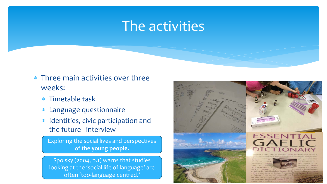#### The activities

- ∗ Three main activities over three weeks:
	- ∗ Timetable task
	- ∗ Language questionnaire
	- ∗ Identities, civic participation and the future - interview

Exploring the social lives and perspectives of the **young people.**

Spolsky (2004, p.1) warns that studies looking at the 'social life of language' are often 'too-language centred.'

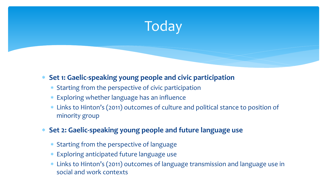

#### ∗ **Set 1: Gaelic-speaking young people and civic participation**

- ∗ Starting from the perspective of civic participation
- ∗ Exploring whether language has an influence
- ∗ Links to Hinton's (2011) outcomes of culture and political stance to position of minority group
- ∗ **Set 2: Gaelic-speaking young people and future language use** 
	- ∗ Starting from the perspective of language
	- ∗ Exploring anticipated future language use
	- ∗ Links to Hinton's (2011) outcomes of language transmission and language use in social and work contexts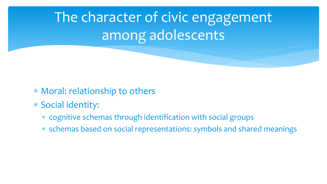# The character of civic engagement among adolescents

- ∗ Moral: relationship to others
- ∗ Social identity:
	- ∗ cognitive schemas through identification with social groups
	- ∗ schemas based on social representations: symbols and shared meanings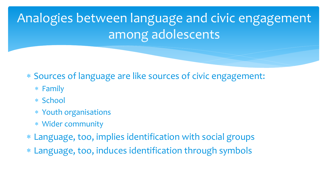Analogies between language and civic engagement among adolescents

∗ Sources of language are like sources of civic engagement:

- ∗ Family
- ∗ School
- ∗ Youth organisations
- ∗ Wider community
- ∗ Language, too, implies identification with social groups
- ∗ Language, too, induces identification through symbols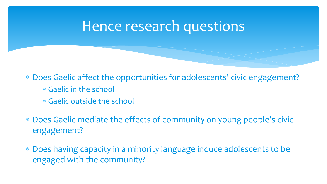#### Hence research questions

∗ Does Gaelic affect the opportunities for adolescents' civic engagement?

- ∗ Gaelic in the school
- ∗ Gaelic outside the school
- ∗ Does Gaelic mediate the effects of community on young people's civic engagement?
- ∗ Does having capacity in a minority language induce adolescents to be engaged with the community?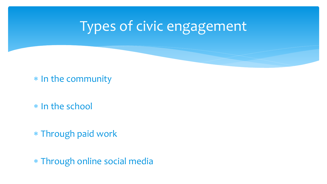# Types of civic engagement

∗ In the community

∗ In the school

∗ Through paid work

∗ Through online social media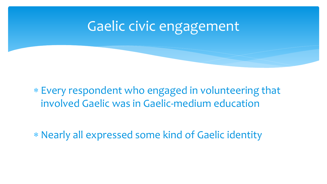### Gaelic civic engagement

#### ∗ Every respondent who engaged in volunteering that involved Gaelic was in Gaelic-medium education

∗ Nearly all expressed some kind of Gaelic identity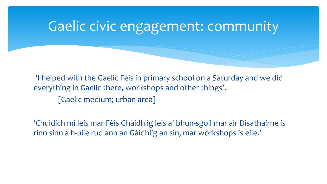# Gaelic civic engagement: community

'I helped with the Gaelic Fèis in primary school on a Saturday and we did everything in Gaelic there, workshops and other things'. [Gaelic medium; urban area]

'Chuidich mi leis mar Fèis Ghàidhlig leis a' bhun-sgoil mar air Disathairne is rinn sinn a h-uile rud ann an Gàidhlig an sin, mar workshops is eile.'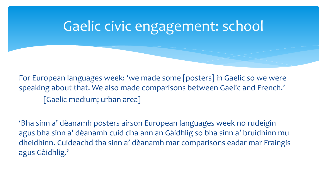# Gaelic civic engagement: school

For European languages week: 'we made some [posters] in Gaelic so we were speaking about that. We also made comparisons between Gaelic and French.' [Gaelic medium; urban area]

'Bha sinn a' dèanamh posters airson European languages week no rudeigin agus bha sinn a' dèanamh cuid dha ann an Gàidhlig so bha sinn a' bruidhinn mu dheidhinn. Cuideachd tha sinn a' dèanamh mar comparisons eadar mar Fraingis agus Gàidhlig.'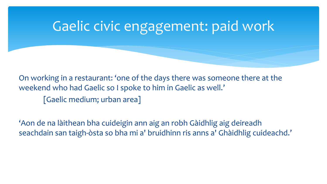# Gaelic civic engagement: paid work

On working in a restaurant: 'one of the days there was someone there at the weekend who had Gaelic so I spoke to him in Gaelic as well.' [Gaelic medium; urban area]

'Aon de na làithean bha cuideigin ann aig an robh Gàidhlig aig deireadh seachdain san taigh-òsta so bha mi a' bruidhinn ris anns a' Ghàidhlig cuideachd.'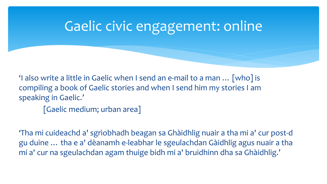## Gaelic civic engagement: online

'I also write a little in Gaelic when I send an e-mail to a man … [who] is compiling a book of Gaelic stories and when I send him my stories I am speaking in Gaelic.'

[Gaelic medium; urban area]

'Tha mi cuideachd a' sgrìobhadh beagan sa Ghàidhlig nuair a tha mi a' cur post-d gu duine … tha e a' dèanamh e-leabhar le sgeulachdan Gàidhlig agus nuair a tha mi a' cur na sgeulachdan agam thuige bidh mi a' bruidhinn dha sa Ghàidhlig.'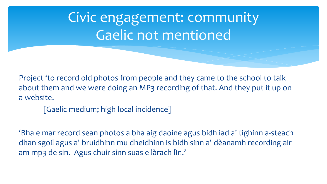Civic engagement: community Gaelic not mentioned

Project 'to record old photos from people and they came to the school to talk about them and we were doing an MP3 recording of that. And they put it up on a website.

[Gaelic medium; high local incidence]

'Bha e mar record sean photos a bha aig daoine agus bidh iad a' tighinn a-steach dhan sgoil agus a' bruidhinn mu dheidhinn is bidh sinn a' dèanamh recording air am mp3 de sin. Agus chuir sinn suas e làrach-lìn.'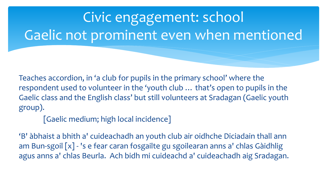# Civic engagement: school Gaelic not prominent even when mentioned

Teaches accordion, in 'a club for pupils in the primary school' where the respondent used to volunteer in the 'youth club … that's open to pupils in the Gaelic class and the English class' but still volunteers at Sradagan (Gaelic youth group).

[Gaelic medium; high local incidence]

'B' àbhaist a bhith a' cuideachadh an youth club air oidhche Diciadain thall ann am Bun-sgoil [x] - 's e fear caran fosgailte gu sgoilearan anns a' chlas Gàidhlig agus anns a' chlas Beurla. Ach bidh mi cuideachd a' cuideachadh aig Sradagan.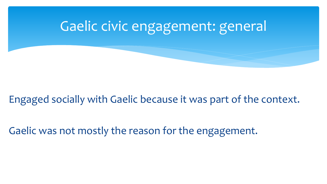# Gaelic civic engagement: general

#### Engaged socially with Gaelic because it was part of the context.

Gaelic was not mostly the reason for the engagement.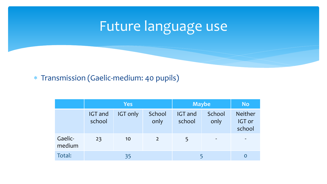# Future language use

#### ∗ Transmission (Gaelic-medium: 40 pupils)

|                   | <b>Yes</b>               |                 |                | <b>Maybe</b>             |                | <b>No</b>                          |
|-------------------|--------------------------|-----------------|----------------|--------------------------|----------------|------------------------------------|
|                   | <b>IGT</b> and<br>school | <b>IGT only</b> | School<br>only | <b>IGT</b> and<br>school | School<br>only | <b>Neither</b><br>IGT or<br>school |
| Gaelic-<br>medium | 23                       | 10              | $\overline{2}$ | 5                        | -              | -                                  |
| Total:            |                          | 35              |                |                          |                |                                    |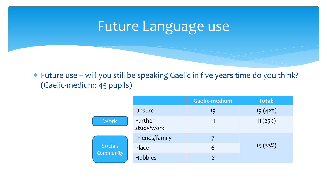#### Future Language use

∗ Future use – will you still be speaking Gaelic in five years time do you think? (Gaelic-medium: 45 pupils)

|                      |                       | <b>Gaelic-medium</b> | Total:   |
|----------------------|-----------------------|----------------------|----------|
|                      | Unsure                | 19                   | 19 (42%) |
| <b>Work</b>          | Further<br>study/work | 11                   | 11(25%)  |
| Social/<br>Community | Friends/family        |                      |          |
|                      | Place                 | 6                    | 15 (33%) |
|                      | <b>Hobbies</b>        | $\overline{2}$       |          |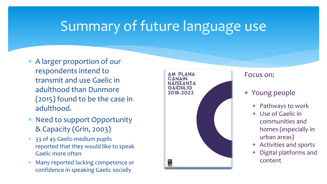### Summary of future language use

- ∗ A larger proportion of our respondents intend to transmit and use Gaelic in adulthood than Dunmore (2015) found to be the case in adulthood.
- ∗ Need to support Opportunity & Capacity (Grin, 2003)
- ∗ 33 of 45 Gaelic-medium pupils reported that they would like to speak Gaelic more often
- Many reported lacking competence or confidence in speaking Gaelic socially



#### Focus on:

- ∗ Young people
	- ∗ Pathways to work
	- ∗ Use of Gaelic in communities and homes (especially in urban areas)
	- ∗ Activities and sports
	- Digital platforms and content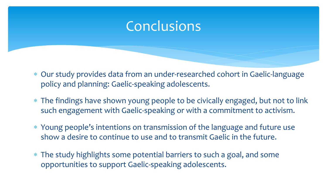#### **Conclusions**

- ∗ Our study provides data from an under-researched cohort in Gaelic-language policy and planning: Gaelic-speaking adolescents.
- ∗ The findings have shown young people to be civically engaged, but not to link such engagement with Gaelic-speaking or with a commitment to activism.
- ∗ Young people's intentions on transmission of the language and future use show a desire to continue to use and to transmit Gaelic in the future.
- ∗ The study highlights some potential barriers to such a goal, and some opportunities to support Gaelic-speaking adolescents.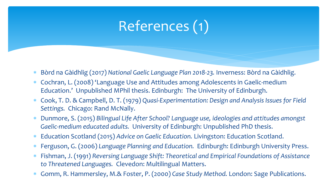# References (1)

- ∗ Bòrd na Gàidhlig (2017) *National Gaelic Language Plan 2018-23.* Inverness: Bòrd na Gàidhlig.
- ∗ Cochran, L. (2008) 'Language Use and Attitudes among Adolescents in Gaelic-medium Education.' Unpublished MPhil thesis. Edinburgh: The University of Edinburgh.
- ∗ Cook, T. D. & Campbell, D. T. (1979) *Quasi-Experimentation: Design and Analysis Issues for Field Settings.* Chicago: Rand McNally.
- ∗ Dunmore, S. (2015) *Bilingual Life After School? Language use, ideologies and attitudes amongst Gaelic-medium educated adults.* University of Edinburgh: Unpublished PhD thesis.
- ∗ Education Scotland (2015) *Advice on Gaelic Education.* Livingston: Education Scotland.
- ∗ Ferguson, G. (2006) *Language Planning and Education.* Edinburgh: Edinburgh University Press.
- ∗ Fishman, J. (1991) *Reversing Language Shift: Theoretical and Empirical Foundations of Assistance to Threatened Languages.* Clevedon: Multilingual Matters.
- ∗ Gomm, R. Hammersley, M.& Foster, P. (2000) *Case Study Method.* London: Sage Publications.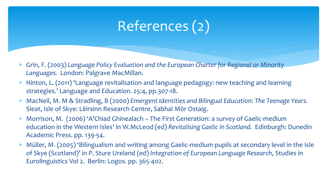# References (2)

- ∗ Grin, F. (2003) *Language Policy Evaluation and the European Charter for Regional or Minority Languages.* London: Palgrave MacMillan.
- ∗ Hinton, L. (2011) 'Language revitalisation and language pedagogy: new teaching and learning strategies.' Language and Education. 25:4, pp.307-18.
- ∗ MacNeil, M. M & Stradling, B (2000) *Emergent Identities and Bilingual Education: The Teenage Years.* Sleat, Isle of Skye: Lèirsinn Research Centre, Sabhal Mòr Ostaig.
- ∗ Morrison, M. (2006) 'A'Chiad Ghinealach The First Generation: a survey of Gaelic-medium education in the Western Isles' in W.McLeod (ed) *Revitalising Gaelic in Scotland.* Edinburgh: Dunedin Academic Press. pp. 139-54.
- ∗ Müller, M. (2005) 'Bilingualism and writing among Gaelic-medium pupils at secondary level in the Isle of Skye (Scotland)' in P. Sture Ureland (ed) *Integration of European Language Research*, Studies in Eurolinguistics Vol 2. Berlin: Logos. pp. 365-402.